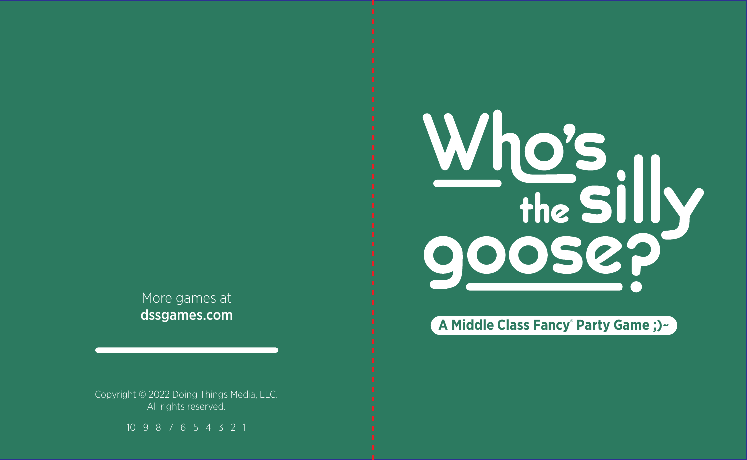More games at dssgames.com

Copyright © 2022 Doing Things Media, LLC. All rights reserved.

10 9 8 7 6 5 4 3 2 1



## **A Middle Class Fancy® Party Game ;)~**